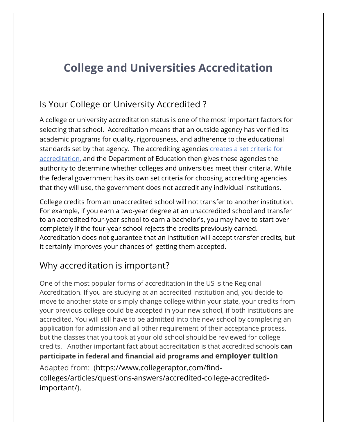## **College and Universities Accreditation**

## Is Your College or University Accredited ?

A college or university accreditation status is one of the most important factors for selecting that school. Accreditation means that an outside agency has verified its academic programs for quality, rigorousness, and adherence to the educational standards set by that agency. The accrediting agencies creates a set criteria for accreditation, and the Department of Education then gives these agencies the authority to determine whether colleges and universities meet their criteria. While the federal government has its own set criteria for choosing accrediting agencies that they will use, the government does not accredit any individual institutions.

College credits from an unaccredited school will not transfer to another institution. For example, if you earn a two-year degree at an unaccredited school and transfer to an accredited four-year school to earn a bachelor's, you may have to start over completely if the four-year school rejects the credits previously earned. Accreditation does not guarantee that an institution will accept transfer credits, but it certainly improves your chances of getting them accepted.

## Why accreditation is important?

Adapted from: (https://www.collegeraptor.com/findcolleges/articles/questions-answers/accredited-college-accreditedimportant/). One of the most popular forms of accreditation in the US is the Regional Accreditation. If you are studying at an accredited institution and, you decide to move to another state or simply change college within your state, your credits from your previous college could be accepted in your new school, if both institutions are accredited. You will still have to be admitted into the new school by completing an application for admission and all other requirement of their acceptance process, but the classes that you took at your old school should be reviewed for college credits. Another important fact about accreditation is that accredited schools **can participate in federal and financial aid programs and employer tuition**